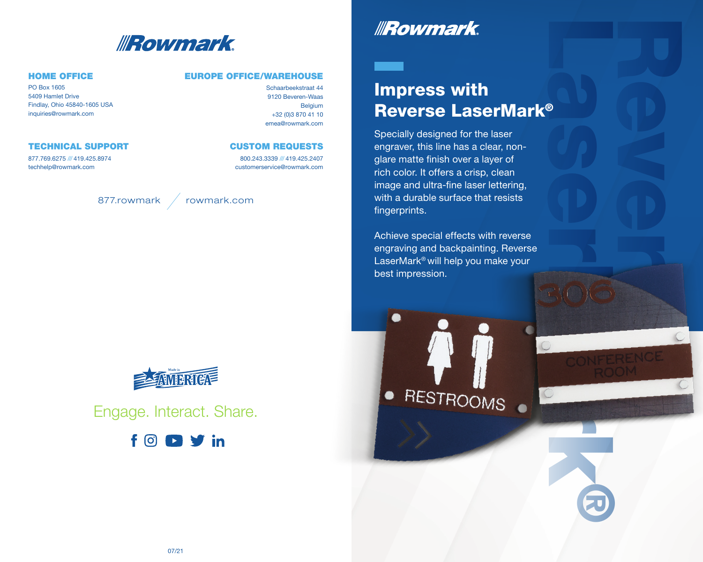

### HOME OFFICE

PO Box 1605 5409 Hamlet Drive Findlay, Ohio 45840-1605 USA inquiries@rowmark.com

### TECHNICAL SUPPORT

877.769.6275 /// 419.425.8974 techhelp@rowmark.com

### EUROPE OFFICE/WAREHOUSE

Schaarbeekstraat 44 9120 Beveren-Waas Belgium +32 (0)3 870 41 10 emea@rowmark.com

### CUSTOM REQUESTS

800.243.3339 /// 419.425.2407 customerservice@rowmark.com





Engage. Interact. Share.



# **IRowmark**

# RASER CONFE Impress with Reverse LaserMark®

Specially designed for the laser engraver, this line has a clear, nonglare matte finish over a layer of rich color. It offers a crisp, clean image and ultra-fine laser lettering, with a durable surface that resists fingerprints.

RENCE

®

Achieve special effects with reverse engraving and backpainting. Reverse LaserMark® will help you make your best impression.



●